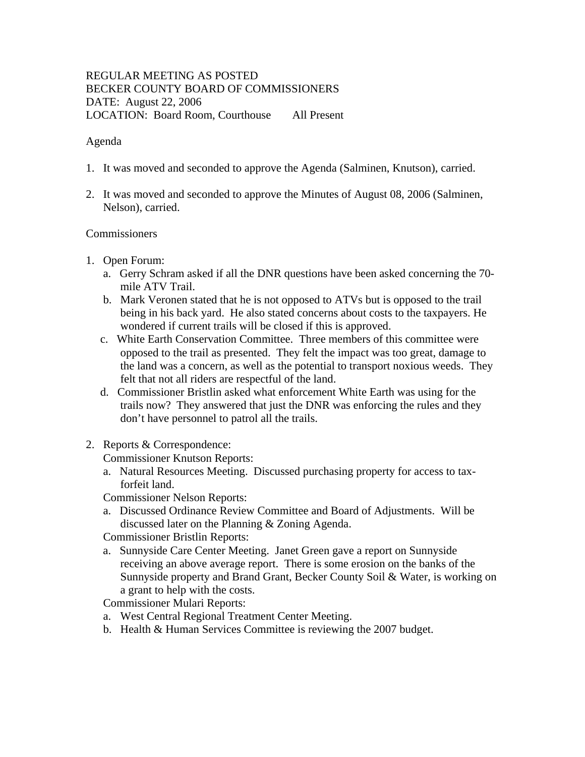# REGULAR MEETING AS POSTED BECKER COUNTY BOARD OF COMMISSIONERS DATE: August 22, 2006 LOCATION: Board Room, Courthouse All Present

### Agenda

- 1. It was moved and seconded to approve the Agenda (Salminen, Knutson), carried.
- 2. It was moved and seconded to approve the Minutes of August 08, 2006 (Salminen, Nelson), carried.

### Commissioners

- 1. Open Forum:
	- a. Gerry Schram asked if all the DNR questions have been asked concerning the 70 mile ATV Trail.
	- b. Mark Veronen stated that he is not opposed to ATVs but is opposed to the trail being in his back yard. He also stated concerns about costs to the taxpayers. He wondered if current trails will be closed if this is approved.
	- c. White Earth Conservation Committee. Three members of this committee were opposed to the trail as presented. They felt the impact was too great, damage to the land was a concern, as well as the potential to transport noxious weeds. They felt that not all riders are respectful of the land.
	- d. Commissioner Bristlin asked what enforcement White Earth was using for the trails now? They answered that just the DNR was enforcing the rules and they don't have personnel to patrol all the trails.
- 2. Reports & Correspondence:

Commissioner Knutson Reports:

a. Natural Resources Meeting. Discussed purchasing property for access to taxforfeit land.

Commissioner Nelson Reports:

 a. Discussed Ordinance Review Committee and Board of Adjustments. Will be discussed later on the Planning & Zoning Agenda.

Commissioner Bristlin Reports:

 a. Sunnyside Care Center Meeting. Janet Green gave a report on Sunnyside receiving an above average report. There is some erosion on the banks of the Sunnyside property and Brand Grant, Becker County Soil & Water, is working on a grant to help with the costs.

Commissioner Mulari Reports:

- a. West Central Regional Treatment Center Meeting.
- b. Health & Human Services Committee is reviewing the 2007 budget.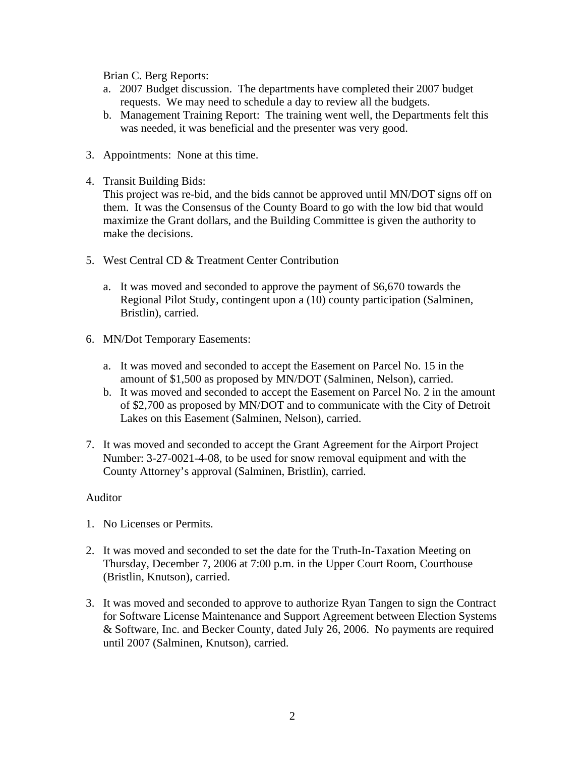Brian C. Berg Reports:

- a. 2007 Budget discussion. The departments have completed their 2007 budget requests. We may need to schedule a day to review all the budgets.
- b. Management Training Report: The training went well, the Departments felt this was needed, it was beneficial and the presenter was very good.
- 3. Appointments: None at this time.
- 4. Transit Building Bids:

This project was re-bid, and the bids cannot be approved until MN/DOT signs off on them. It was the Consensus of the County Board to go with the low bid that would maximize the Grant dollars, and the Building Committee is given the authority to make the decisions.

- 5. West Central CD & Treatment Center Contribution
	- a. It was moved and seconded to approve the payment of \$6,670 towards the Regional Pilot Study, contingent upon a (10) county participation (Salminen, Bristlin), carried.
- 6. MN/Dot Temporary Easements:
	- a. It was moved and seconded to accept the Easement on Parcel No. 15 in the amount of \$1,500 as proposed by MN/DOT (Salminen, Nelson), carried.
	- b. It was moved and seconded to accept the Easement on Parcel No. 2 in the amount of \$2,700 as proposed by MN/DOT and to communicate with the City of Detroit Lakes on this Easement (Salminen, Nelson), carried.
- 7. It was moved and seconded to accept the Grant Agreement for the Airport Project Number: 3-27-0021-4-08, to be used for snow removal equipment and with the County Attorney's approval (Salminen, Bristlin), carried.

### Auditor

- 1. No Licenses or Permits.
- 2. It was moved and seconded to set the date for the Truth-In-Taxation Meeting on Thursday, December 7, 2006 at 7:00 p.m. in the Upper Court Room, Courthouse (Bristlin, Knutson), carried.
- 3. It was moved and seconded to approve to authorize Ryan Tangen to sign the Contract for Software License Maintenance and Support Agreement between Election Systems & Software, Inc. and Becker County, dated July 26, 2006. No payments are required until 2007 (Salminen, Knutson), carried.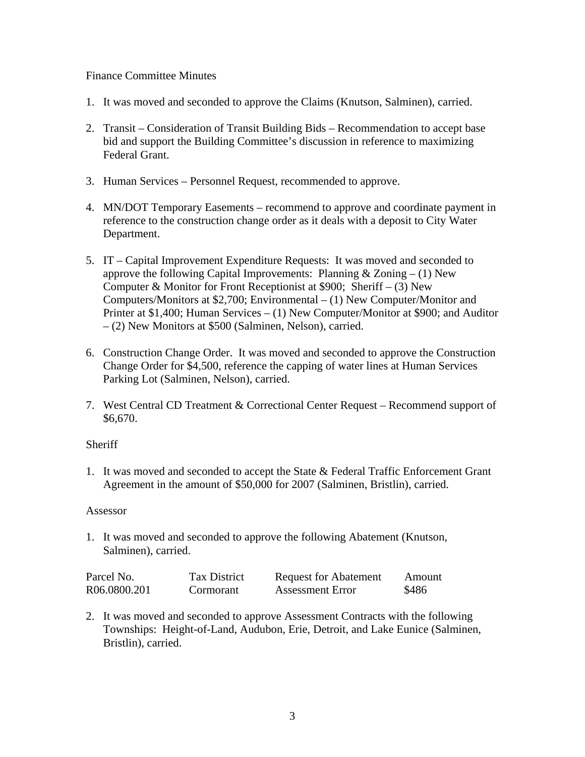## Finance Committee Minutes

- 1. It was moved and seconded to approve the Claims (Knutson, Salminen), carried.
- 2. Transit Consideration of Transit Building Bids Recommendation to accept base bid and support the Building Committee's discussion in reference to maximizing Federal Grant.
- 3. Human Services Personnel Request, recommended to approve.
- 4. MN/DOT Temporary Easements recommend to approve and coordinate payment in reference to the construction change order as it deals with a deposit to City Water Department.
- 5. IT Capital Improvement Expenditure Requests: It was moved and seconded to approve the following Capital Improvements: Planning  $& Zoning - (1)$  New Computer & Monitor for Front Receptionist at \$900; Sheriff – (3) New Computers/Monitors at \$2,700; Environmental – (1) New Computer/Monitor and Printer at \$1,400; Human Services – (1) New Computer/Monitor at \$900; and Auditor – (2) New Monitors at \$500 (Salminen, Nelson), carried.
- 6. Construction Change Order. It was moved and seconded to approve the Construction Change Order for \$4,500, reference the capping of water lines at Human Services Parking Lot (Salminen, Nelson), carried.
- 7. West Central CD Treatment & Correctional Center Request Recommend support of \$6,670.

### **Sheriff**

1. It was moved and seconded to accept the State & Federal Traffic Enforcement Grant Agreement in the amount of \$50,000 for 2007 (Salminen, Bristlin), carried.

#### Assessor

1. It was moved and seconded to approve the following Abatement (Knutson, Salminen), carried.

| Parcel No.   | <b>Tax District</b> | <b>Request for Abatement</b> | Amount |
|--------------|---------------------|------------------------------|--------|
| R06.0800.201 | Cormorant           | <b>Assessment Error</b>      | \$486  |

2. It was moved and seconded to approve Assessment Contracts with the following Townships: Height-of-Land, Audubon, Erie, Detroit, and Lake Eunice (Salminen, Bristlin), carried.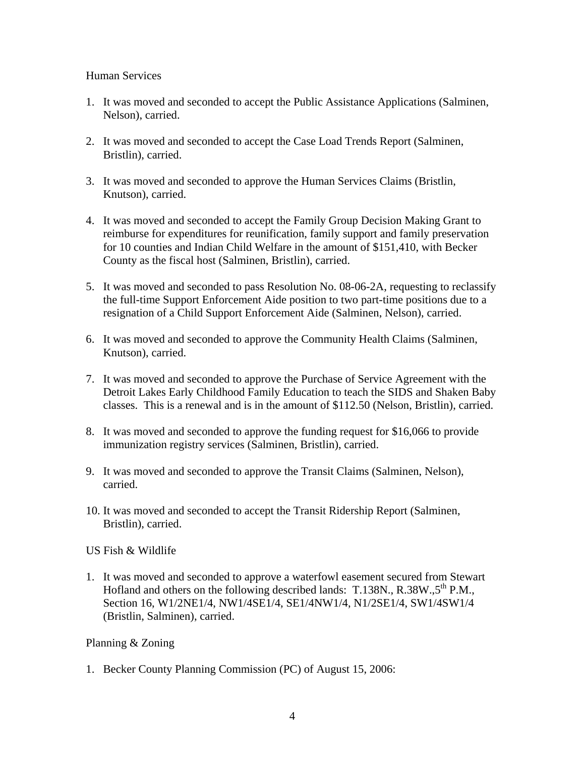### Human Services

- 1. It was moved and seconded to accept the Public Assistance Applications (Salminen, Nelson), carried.
- 2. It was moved and seconded to accept the Case Load Trends Report (Salminen, Bristlin), carried.
- 3. It was moved and seconded to approve the Human Services Claims (Bristlin, Knutson), carried.
- 4. It was moved and seconded to accept the Family Group Decision Making Grant to reimburse for expenditures for reunification, family support and family preservation for 10 counties and Indian Child Welfare in the amount of \$151,410, with Becker County as the fiscal host (Salminen, Bristlin), carried.
- 5. It was moved and seconded to pass Resolution No. 08-06-2A, requesting to reclassify the full-time Support Enforcement Aide position to two part-time positions due to a resignation of a Child Support Enforcement Aide (Salminen, Nelson), carried.
- 6. It was moved and seconded to approve the Community Health Claims (Salminen, Knutson), carried.
- 7. It was moved and seconded to approve the Purchase of Service Agreement with the Detroit Lakes Early Childhood Family Education to teach the SIDS and Shaken Baby classes. This is a renewal and is in the amount of \$112.50 (Nelson, Bristlin), carried.
- 8. It was moved and seconded to approve the funding request for \$16,066 to provide immunization registry services (Salminen, Bristlin), carried.
- 9. It was moved and seconded to approve the Transit Claims (Salminen, Nelson), carried.
- 10. It was moved and seconded to accept the Transit Ridership Report (Salminen, Bristlin), carried.

US Fish & Wildlife

1. It was moved and seconded to approve a waterfowl easement secured from Stewart Hofland and others on the following described lands: T.138N.,  $R.38W.5^{th} P.M.,$ Section 16, W1/2NE1/4, NW1/4SE1/4, SE1/4NW1/4, N1/2SE1/4, SW1/4SW1/4 (Bristlin, Salminen), carried.

# Planning & Zoning

1. Becker County Planning Commission (PC) of August 15, 2006: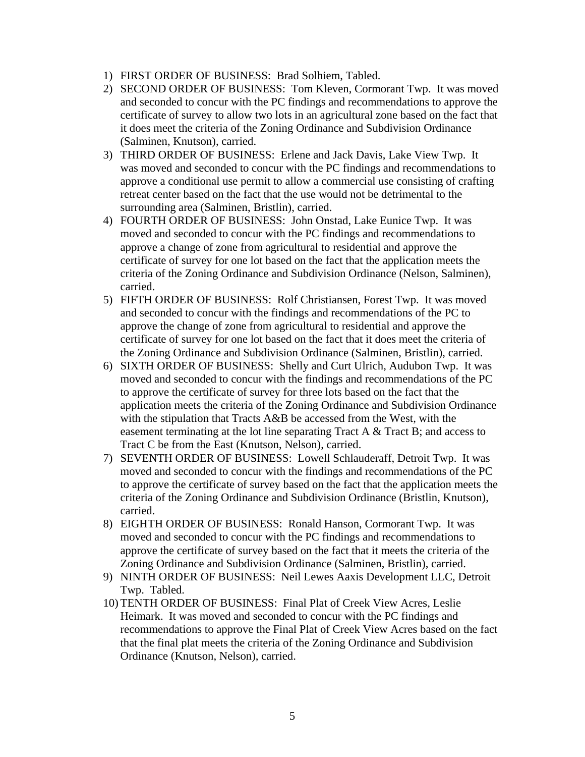- 1) FIRST ORDER OF BUSINESS: Brad Solhiem, Tabled.
- 2) SECOND ORDER OF BUSINESS: Tom Kleven, Cormorant Twp. It was moved and seconded to concur with the PC findings and recommendations to approve the certificate of survey to allow two lots in an agricultural zone based on the fact that it does meet the criteria of the Zoning Ordinance and Subdivision Ordinance (Salminen, Knutson), carried.
- 3) THIRD ORDER OF BUSINESS: Erlene and Jack Davis, Lake View Twp. It was moved and seconded to concur with the PC findings and recommendations to approve a conditional use permit to allow a commercial use consisting of crafting retreat center based on the fact that the use would not be detrimental to the surrounding area (Salminen, Bristlin), carried.
- 4) FOURTH ORDER OF BUSINESS: John Onstad, Lake Eunice Twp. It was moved and seconded to concur with the PC findings and recommendations to approve a change of zone from agricultural to residential and approve the certificate of survey for one lot based on the fact that the application meets the criteria of the Zoning Ordinance and Subdivision Ordinance (Nelson, Salminen), carried.
- 5) FIFTH ORDER OF BUSINESS: Rolf Christiansen, Forest Twp. It was moved and seconded to concur with the findings and recommendations of the PC to approve the change of zone from agricultural to residential and approve the certificate of survey for one lot based on the fact that it does meet the criteria of the Zoning Ordinance and Subdivision Ordinance (Salminen, Bristlin), carried.
- 6) SIXTH ORDER OF BUSINESS: Shelly and Curt Ulrich, Audubon Twp. It was moved and seconded to concur with the findings and recommendations of the PC to approve the certificate of survey for three lots based on the fact that the application meets the criteria of the Zoning Ordinance and Subdivision Ordinance with the stipulation that Tracts A&B be accessed from the West, with the easement terminating at the lot line separating Tract A  $\&$  Tract B; and access to Tract C be from the East (Knutson, Nelson), carried.
- 7) SEVENTH ORDER OF BUSINESS: Lowell Schlauderaff, Detroit Twp. It was moved and seconded to concur with the findings and recommendations of the PC to approve the certificate of survey based on the fact that the application meets the criteria of the Zoning Ordinance and Subdivision Ordinance (Bristlin, Knutson), carried.
- 8) EIGHTH ORDER OF BUSINESS: Ronald Hanson, Cormorant Twp. It was moved and seconded to concur with the PC findings and recommendations to approve the certificate of survey based on the fact that it meets the criteria of the Zoning Ordinance and Subdivision Ordinance (Salminen, Bristlin), carried.
- 9) NINTH ORDER OF BUSINESS: Neil Lewes Aaxis Development LLC, Detroit Twp. Tabled.
- 10) TENTH ORDER OF BUSINESS: Final Plat of Creek View Acres, Leslie Heimark. It was moved and seconded to concur with the PC findings and recommendations to approve the Final Plat of Creek View Acres based on the fact that the final plat meets the criteria of the Zoning Ordinance and Subdivision Ordinance (Knutson, Nelson), carried.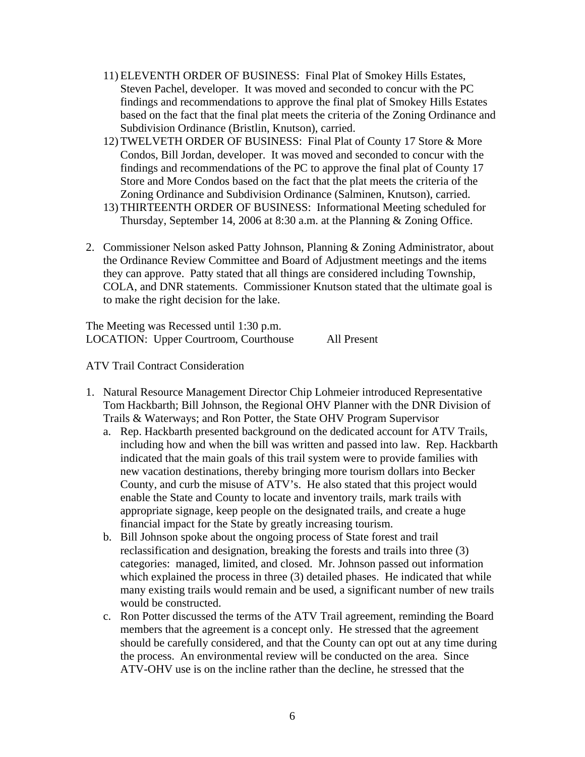- 11) ELEVENTH ORDER OF BUSINESS: Final Plat of Smokey Hills Estates, Steven Pachel, developer. It was moved and seconded to concur with the PC findings and recommendations to approve the final plat of Smokey Hills Estates based on the fact that the final plat meets the criteria of the Zoning Ordinance and Subdivision Ordinance (Bristlin, Knutson), carried.
- 12) TWELVETH ORDER OF BUSINESS: Final Plat of County 17 Store & More Condos, Bill Jordan, developer. It was moved and seconded to concur with the findings and recommendations of the PC to approve the final plat of County 17 Store and More Condos based on the fact that the plat meets the criteria of the Zoning Ordinance and Subdivision Ordinance (Salminen, Knutson), carried.
- 13) THIRTEENTH ORDER OF BUSINESS: Informational Meeting scheduled for Thursday, September 14, 2006 at 8:30 a.m. at the Planning & Zoning Office.
- 2. Commissioner Nelson asked Patty Johnson, Planning & Zoning Administrator, about the Ordinance Review Committee and Board of Adjustment meetings and the items they can approve. Patty stated that all things are considered including Township, COLA, and DNR statements. Commissioner Knutson stated that the ultimate goal is to make the right decision for the lake.

The Meeting was Recessed until 1:30 p.m. LOCATION: Upper Courtroom, Courthouse All Present

ATV Trail Contract Consideration

- 1. Natural Resource Management Director Chip Lohmeier introduced Representative Tom Hackbarth; Bill Johnson, the Regional OHV Planner with the DNR Division of Trails & Waterways; and Ron Potter, the State OHV Program Supervisor
	- a. Rep. Hackbarth presented background on the dedicated account for ATV Trails, including how and when the bill was written and passed into law. Rep. Hackbarth indicated that the main goals of this trail system were to provide families with new vacation destinations, thereby bringing more tourism dollars into Becker County, and curb the misuse of ATV's. He also stated that this project would enable the State and County to locate and inventory trails, mark trails with appropriate signage, keep people on the designated trails, and create a huge financial impact for the State by greatly increasing tourism.
	- b. Bill Johnson spoke about the ongoing process of State forest and trail reclassification and designation, breaking the forests and trails into three (3) categories: managed, limited, and closed. Mr. Johnson passed out information which explained the process in three (3) detailed phases. He indicated that while many existing trails would remain and be used, a significant number of new trails would be constructed.
	- c. Ron Potter discussed the terms of the ATV Trail agreement, reminding the Board members that the agreement is a concept only. He stressed that the agreement should be carefully considered, and that the County can opt out at any time during the process. An environmental review will be conducted on the area. Since ATV-OHV use is on the incline rather than the decline, he stressed that the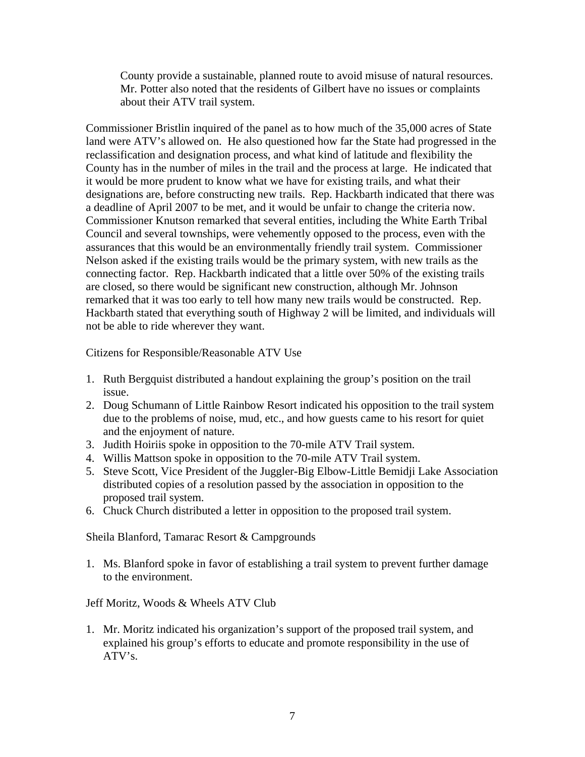County provide a sustainable, planned route to avoid misuse of natural resources. Mr. Potter also noted that the residents of Gilbert have no issues or complaints about their ATV trail system.

Commissioner Bristlin inquired of the panel as to how much of the 35,000 acres of State land were ATV's allowed on. He also questioned how far the State had progressed in the reclassification and designation process, and what kind of latitude and flexibility the County has in the number of miles in the trail and the process at large. He indicated that it would be more prudent to know what we have for existing trails, and what their designations are, before constructing new trails. Rep. Hackbarth indicated that there was a deadline of April 2007 to be met, and it would be unfair to change the criteria now. Commissioner Knutson remarked that several entities, including the White Earth Tribal Council and several townships, were vehemently opposed to the process, even with the assurances that this would be an environmentally friendly trail system. Commissioner Nelson asked if the existing trails would be the primary system, with new trails as the connecting factor. Rep. Hackbarth indicated that a little over 50% of the existing trails are closed, so there would be significant new construction, although Mr. Johnson remarked that it was too early to tell how many new trails would be constructed. Rep. Hackbarth stated that everything south of Highway 2 will be limited, and individuals will not be able to ride wherever they want.

Citizens for Responsible/Reasonable ATV Use

- 1. Ruth Bergquist distributed a handout explaining the group's position on the trail issue.
- 2. Doug Schumann of Little Rainbow Resort indicated his opposition to the trail system due to the problems of noise, mud, etc., and how guests came to his resort for quiet and the enjoyment of nature.
- 3. Judith Hoiriis spoke in opposition to the 70-mile ATV Trail system.
- 4. Willis Mattson spoke in opposition to the 70-mile ATV Trail system.
- 5. Steve Scott, Vice President of the Juggler-Big Elbow-Little Bemidji Lake Association distributed copies of a resolution passed by the association in opposition to the proposed trail system.
- 6. Chuck Church distributed a letter in opposition to the proposed trail system.

Sheila Blanford, Tamarac Resort & Campgrounds

1. Ms. Blanford spoke in favor of establishing a trail system to prevent further damage to the environment.

Jeff Moritz, Woods & Wheels ATV Club

1. Mr. Moritz indicated his organization's support of the proposed trail system, and explained his group's efforts to educate and promote responsibility in the use of ATV's.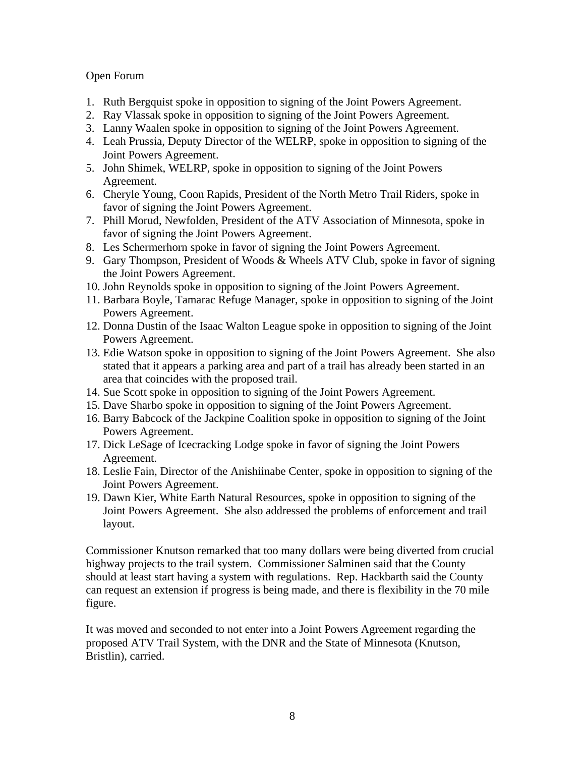# Open Forum

- 1. Ruth Bergquist spoke in opposition to signing of the Joint Powers Agreement.
- 2. Ray Vlassak spoke in opposition to signing of the Joint Powers Agreement.
- 3. Lanny Waalen spoke in opposition to signing of the Joint Powers Agreement.
- 4. Leah Prussia, Deputy Director of the WELRP, spoke in opposition to signing of the Joint Powers Agreement.
- 5. John Shimek, WELRP, spoke in opposition to signing of the Joint Powers Agreement.
- 6. Cheryle Young, Coon Rapids, President of the North Metro Trail Riders, spoke in favor of signing the Joint Powers Agreement.
- 7. Phill Morud, Newfolden, President of the ATV Association of Minnesota, spoke in favor of signing the Joint Powers Agreement.
- 8. Les Schermerhorn spoke in favor of signing the Joint Powers Agreement.
- 9. Gary Thompson, President of Woods & Wheels ATV Club, spoke in favor of signing the Joint Powers Agreement.
- 10. John Reynolds spoke in opposition to signing of the Joint Powers Agreement.
- 11. Barbara Boyle, Tamarac Refuge Manager, spoke in opposition to signing of the Joint Powers Agreement.
- 12. Donna Dustin of the Isaac Walton League spoke in opposition to signing of the Joint Powers Agreement.
- 13. Edie Watson spoke in opposition to signing of the Joint Powers Agreement. She also stated that it appears a parking area and part of a trail has already been started in an area that coincides with the proposed trail.
- 14. Sue Scott spoke in opposition to signing of the Joint Powers Agreement.
- 15. Dave Sharbo spoke in opposition to signing of the Joint Powers Agreement.
- 16. Barry Babcock of the Jackpine Coalition spoke in opposition to signing of the Joint Powers Agreement.
- 17. Dick LeSage of Icecracking Lodge spoke in favor of signing the Joint Powers Agreement.
- 18. Leslie Fain, Director of the Anishiinabe Center, spoke in opposition to signing of the Joint Powers Agreement.
- 19. Dawn Kier, White Earth Natural Resources, spoke in opposition to signing of the Joint Powers Agreement. She also addressed the problems of enforcement and trail layout.

Commissioner Knutson remarked that too many dollars were being diverted from crucial highway projects to the trail system. Commissioner Salminen said that the County should at least start having a system with regulations. Rep. Hackbarth said the County can request an extension if progress is being made, and there is flexibility in the 70 mile figure.

It was moved and seconded to not enter into a Joint Powers Agreement regarding the proposed ATV Trail System, with the DNR and the State of Minnesota (Knutson, Bristlin), carried.